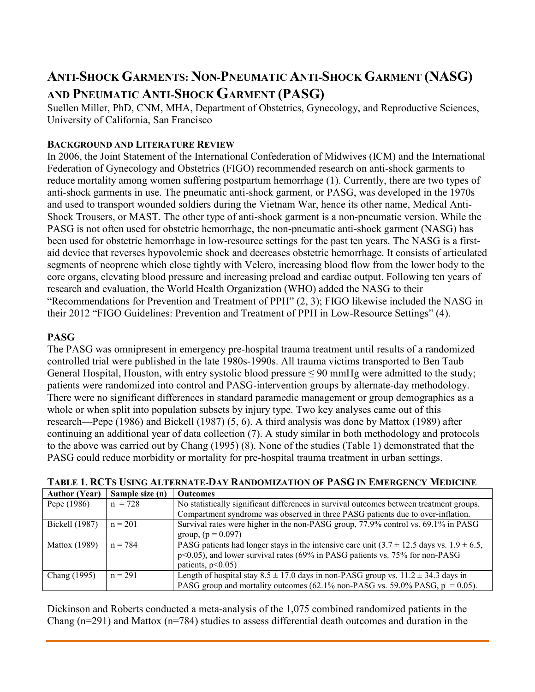# **ANTI-SHOCK GARMENTS: NON-PNEUMATIC ANTI-SHOCK GARMENT (NASG) AND PNEUMATIC ANTI-SHOCK GARMENT (PASG)**

Suellen Miller, PhD, CNM, MHA, Department of Obstetrics, Gynecology, and Reproductive Sciences, University of California, San Francisco

## **BACKGROUND AND LITERATURE REVIEW**

In 2006, the Joint Statement of the International Confederation of Midwives (ICM) and the International Federation of Gynecology and Obstetrics (FIGO) recommended research on anti-shock garments to reduce mortality among women suffering postpartum hemorrhage [\(1\)](#page-6-0). Currently, there are two types of anti-shock garments in use. The pneumatic anti-shock garment, or PASG, was developed in the 1970s and used to transport wounded soldiers during the Vietnam War, hence its other name, Medical Anti-Shock Trousers, or MAST. The other type of anti-shock garment is a non-pneumatic version. While the PASG is not often used for obstetric hemorrhage, the non-pneumatic anti-shock garment (NASG) has been used for obstetric hemorrhage in low-resource settings for the past ten years. The NASG is a firstaid device that reverses hypovolemic shock and decreases obstetric hemorrhage. It consists of articulated segments of neoprene which close tightly with Velcro, increasing blood flow from the lower body to the core organs, elevating blood pressure and increasing preload and cardiac output. Following ten years of research and evaluation, the World Health Organization (WHO) added the NASG to their "Recommendations for Prevention and Treatment of PPH" [\(2,](#page-6-1) [3\)](#page-6-2); FIGO likewise included the NASG in their 2012 "FIGO Guidelines: Prevention and Treatment of PPH in Low-Resource Settings" [\(4\)](#page-6-3).

## **PASG**

The PASG was omnipresent in emergency pre-hospital trauma treatment until results of a randomized controlled trial were published in the late 1980s-1990s. All trauma victims transported to Ben Taub General Hospital, Houston, with entry systolic blood pressure  $\leq 90$  mmHg were admitted to the study; patients were randomized into control and PASG-intervention groups by alternate-day methodology. There were no significant differences in standard paramedic management or group demographics as a whole or when split into population subsets by injury type. Two key analyses came out of this research—Pepe (1986) and Bickell (1987) [\(5,](#page-6-4) [6\)](#page-6-5). A third analysis was done by Mattox (1989) after continuing an additional year of data collection [\(7\)](#page-6-6). A study similar in both methodology and protocols to the above was carried out by Chang (1995) [\(8\)](#page-6-7). None of the studies (Table 1) demonstrated that the PASG could reduce morbidity or mortality for pre-hospital trauma treatment in urban settings.

| <b>Author (Year)</b> | Sample size (n) | <b>Outcomes</b>                                                                                     |  |
|----------------------|-----------------|-----------------------------------------------------------------------------------------------------|--|
| Pepe (1986)          | $n = 728$       | No statistically significant differences in survival outcomes between treatment groups.             |  |
|                      |                 | Compartment syndrome was observed in three PASG patients due to over-inflation.                     |  |
| Bickell (1987)       | $n = 201$       | Survival rates were higher in the non-PASG group, 77.9% control vs. 69.1% in PASG                   |  |
|                      |                 | group, $(p = 0.097)$                                                                                |  |
| <b>Mattox</b> (1989) | $n = 784$       | PASG patients had longer stays in the intensive care unit $(3.7 \pm 12.5)$ days vs. $1.9 \pm 6.5$ , |  |
|                      |                 | p<0.05), and lower survival rates (69% in PASG patients vs. 75% for non-PASG                        |  |
|                      |                 | patients, $p<0.05$ )                                                                                |  |
| Chang (1995)         | $n = 291$       | Length of hospital stay $8.5 \pm 17.0$ days in non-PASG group vs. $11.2 \pm 34.3$ days in           |  |
|                      |                 | PASG group and mortality outcomes (62.1% non-PASG vs. 59.0% PASG, $p = 0.05$ ).                     |  |

**TABLE 1. RCTS USING ALTERNATE-DAY RANDOMIZATION OF PASG IN EMERGENCY MEDICINE**

Dickinson and Roberts conducted a meta-analysis of the 1,075 combined randomized patients in the Chang (n=291) and Mattox (n=784) studies to assess differential death outcomes and duration in the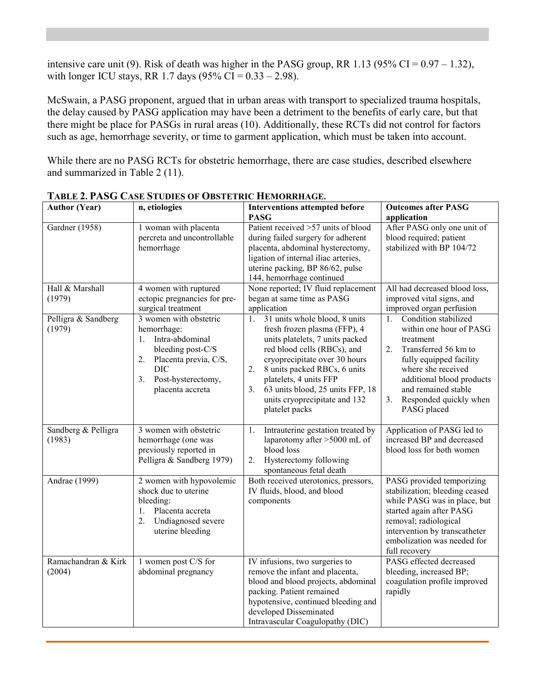intensive care unit [\(9\)](#page-6-8). Risk of death was higher in the PASG group, RR 1.13 (95% CI =  $0.97 - 1.32$ ), with longer ICU stays, RR 1.7 days  $(95\% \text{ CI} = 0.33 - 2.98)$ .

McSwain, a PASG proponent, argued that in urban areas with transport to specialized trauma hospitals, the delay caused by PASG application may have been a detriment to the benefits of early care, but that there might be place for PASGs in rural areas [\(10\)](#page-6-9). Additionally, these RCTs did not control for factors such as age, hemorrhage severity, or time to garment application, which must be taken into account.

While there are no PASG RCTs for obstetric hemorrhage, there are case studies, described elsewhere and summarized in Table 2 [\(11\)](#page-6-10).

| <b>Author (Year)</b>          | n, etiologies                                                                                                                                                                                            | <b>Interventions attempted before</b><br><b>PASG</b>                                                                                                                                                                                                                                                                                            | <b>Outcomes after PASG</b><br>application                                                                                                                                                                                                                          |
|-------------------------------|----------------------------------------------------------------------------------------------------------------------------------------------------------------------------------------------------------|-------------------------------------------------------------------------------------------------------------------------------------------------------------------------------------------------------------------------------------------------------------------------------------------------------------------------------------------------|--------------------------------------------------------------------------------------------------------------------------------------------------------------------------------------------------------------------------------------------------------------------|
| Gardner (1958)                | 1 woman with placenta<br>percreta and uncontrollable<br>hemorrhage                                                                                                                                       | Patient received $>57$ units of blood<br>during failed surgery for adherent<br>placenta, abdominal hysterectomy,<br>ligation of internal iliac arteries,<br>uterine packing, BP 86/62, pulse<br>144, hemorrhage continued                                                                                                                       | After PASG only one unit of<br>blood required; patient<br>stabilized with BP 104/72                                                                                                                                                                                |
| Hall & Marshall<br>(1979)     | 4 women with ruptured<br>ectopic pregnancies for pre-<br>surgical treatment                                                                                                                              | None reported; IV fluid replacement<br>began at same time as PASG<br>application                                                                                                                                                                                                                                                                | All had decreased blood loss,<br>improved vital signs, and<br>improved organ perfusion                                                                                                                                                                             |
| Pelligra & Sandberg<br>(1979) | 3 women with obstetric<br>hemorrhage:<br>Intra-abdominal<br>$\mathbf{1}$ .<br>bleeding post-C/S<br>2.<br>Placenta previa, C/S,<br><b>DIC</b><br>3 <sub>1</sub><br>Post-hysterectomy,<br>placenta accreta | 31 units whole blood, 8 units<br>1.<br>fresh frozen plasma (FFP), 4<br>units platelets, 7 units packed<br>red blood cells (RBCs), and<br>cryoprecipitate over 30 hours<br>8 units packed RBCs, 6 units<br>2.<br>platelets, 4 units FFP<br>63 units blood, 25 units FFP, 18<br>3 <sub>1</sub><br>units cryoprecipitate and 132<br>platelet packs | $\overline{1}$ .<br>Condition stabilized<br>within one hour of PASG<br>treatment<br>Transferred 56 km to<br>2.<br>fully equipped facility<br>where she received<br>additional blood products<br>and remained stable<br>Responded quickly when<br>3.<br>PASG placed |
| Sandberg & Pelligra<br>(1983) | 3 women with obstetric<br>hemorrhage (one was<br>previously reported in<br>Pelligra & Sandberg 1979)                                                                                                     | Intrauterine gestation treated by<br>1.<br>laparotomy after >5000 mL of<br>blood loss<br>2.<br>Hysterectomy following<br>spontaneous fetal death                                                                                                                                                                                                | Application of PASG led to<br>increased BP and decreased<br>blood loss for both women                                                                                                                                                                              |
| Andrae (1999)                 | 2 women with hypovolemic<br>shock due to uterine<br>bleeding:<br>Placenta accreta<br>1.<br>2.<br>Undiagnosed severe<br>uterine bleeding                                                                  | Both received uterotonics, pressors,<br>IV fluids, blood, and blood<br>components                                                                                                                                                                                                                                                               | PASG provided temporizing<br>stabilization; bleeding ceased<br>while PASG was in place, but<br>started again after PASG<br>removal; radiological<br>intervention by transcatheter<br>embolization was needed for<br>full recovery                                  |
| Ramachandran & Kirk<br>(2004) | 1 women post C/S for<br>abdominal pregnancy                                                                                                                                                              | IV infusions, two surgeries to<br>remove the infant and placenta,<br>blood and blood projects, abdominal<br>packing. Patient remained<br>hypotensive, continued bleeding and<br>developed Disseminated<br>Intravascular Coagulopathy (DIC)                                                                                                      | PASG effected decreased<br>bleeding, increased BP;<br>coagulation profile improved<br>rapidly                                                                                                                                                                      |

**TABLE 2. PASG CASE STUDIES OF OBSTETRIC HEMORRHAGE.**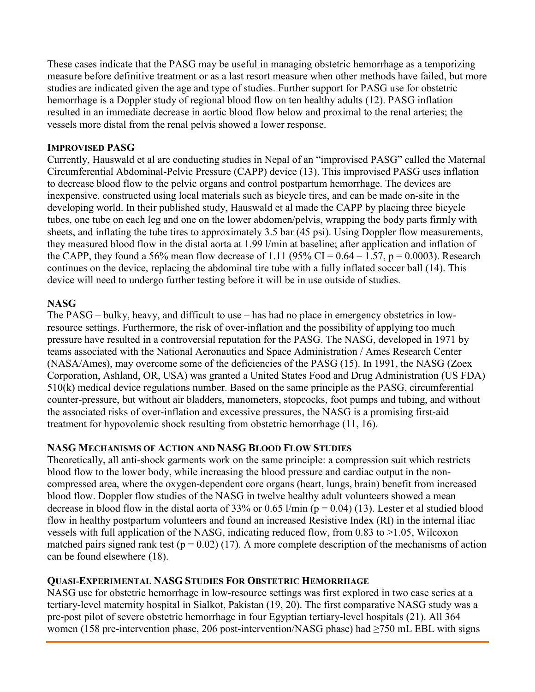These cases indicate that the PASG may be useful in managing obstetric hemorrhage as a temporizing measure before definitive treatment or as a last resort measure when other methods have failed, but more studies are indicated given the age and type of studies. Further support for PASG use for obstetric hemorrhage is a Doppler study of regional blood flow on ten healthy adults [\(12\)](#page-6-11). PASG inflation resulted in an immediate decrease in aortic blood flow below and proximal to the renal arteries; the vessels more distal from the renal pelvis showed a lower response.

#### **IMPROVISED PASG**

Currently, Hauswald et al are conducting studies in Nepal of an "improvised PASG" called the Maternal Circumferential Abdominal-Pelvic Pressure (CAPP) device [\(13\)](#page-6-12). This improvised PASG uses inflation to decrease blood flow to the pelvic organs and control postpartum hemorrhage. The devices are inexpensive, constructed using local materials such as bicycle tires, and can be made on-site in the developing world. In their published study, Hauswald et al made the CAPP by placing three bicycle tubes, one tube on each leg and one on the lower abdomen/pelvis, wrapping the body parts firmly with sheets, and inflating the tube tires to approximately 3.5 bar (45 psi). Using Doppler flow measurements, they measured blood flow in the distal aorta at 1.99 l/min at baseline; after application and inflation of the CAPP, they found a 56% mean flow decrease of 1.11 (95% CI =  $0.64 - 1.57$ , p =  $0.0003$ ). Research continues on the device, replacing the abdominal tire tube with a fully inflated soccer ball [\(14\)](#page-6-13). This device will need to undergo further testing before it will be in use outside of studies.

#### **NASG**

The PASG – bulky, heavy, and difficult to use – has had no place in emergency obstetrics in lowresource settings. Furthermore, the risk of over-inflation and the possibility of applying too much pressure have resulted in a controversial reputation for the PASG. The NASG, developed in 1971 by teams associated with the National Aeronautics and Space Administration / Ames Research Center (NASA/Ames), may overcome some of the deficiencies of the PASG [\(15\)](#page-6-14). In 1991, the NASG (Zoex Corporation, Ashland, OR, USA) was granted a United States Food and Drug Administration (US FDA) 510(k) medical device regulations number. Based on the same principle as the PASG, circumferential counter-pressure, but without air bladders, manometers, stopcocks, foot pumps and tubing, and without the associated risks of over-inflation and excessive pressures, the NASG is a promising first-aid treatment for hypovolemic shock resulting from obstetric hemorrhage [\(11,](#page-6-10) [16\)](#page-6-15).

#### **NASG MECHANISMS OF ACTION AND NASG BLOOD FLOW STUDIES**

Theoretically, all anti-shock garments work on the same principle: a compression suit which restricts blood flow to the lower body, while increasing the blood pressure and cardiac output in the noncompressed area, where the oxygen-dependent core organs (heart, lungs, brain) benefit from increased blood flow. Doppler flow studies of the NASG in twelve healthy adult volunteers showed a mean decrease in blood flow in the distal aorta of 33% or 0.65 l/min ( $p = 0.04$ ) [\(13\)](#page-6-12). Lester et al studied blood flow in healthy postpartum volunteers and found an increased Resistive Index (RI) in the internal iliac vessels with full application of the NASG, indicating reduced flow, from 0.83 to >1.05, Wilcoxon matched pairs signed rank test ( $p = 0.02$ ) [\(17\)](#page-7-0). A more complete description of the mechanisms of action can be found elsewhere [\(18\)](#page-7-1).

#### **QUASI-EXPERIMENTAL NASG STUDIES FOR OBSTETRIC HEMORRHAGE**

NASG use for obstetric hemorrhage in low-resource settings was first explored in two case series at a tertiary-level maternity hospital in Sialkot, Pakistan [\(19,](#page-7-2) [20\)](#page-7-3). The first comparative NASG study was a pre-post pilot of severe obstetric hemorrhage in four Egyptian tertiary-level hospitals [\(21\)](#page-7-4). All 364 women (158 pre-intervention phase, 206 post-intervention/NASG phase) had ≥750 mL EBL with signs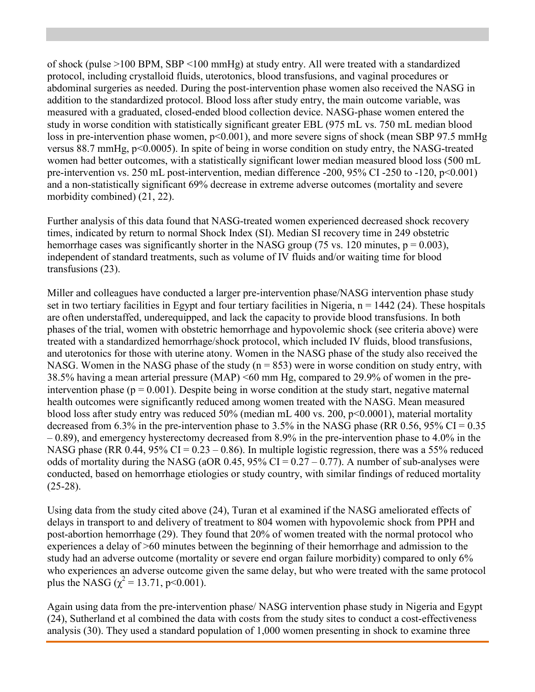of shock (pulse >100 BPM, SBP <100 mmHg) at study entry. All were treated with a standardized protocol, including crystalloid fluids, uterotonics, blood transfusions, and vaginal procedures or abdominal surgeries as needed. During the post-intervention phase women also received the NASG in addition to the standardized protocol. Blood loss after study entry, the main outcome variable, was measured with a graduated, closed-ended blood collection device. NASG-phase women entered the study in worse condition with statistically significant greater EBL (975 mL vs. 750 mL median blood loss in pre-intervention phase women,  $p<0.001$ ), and more severe signs of shock (mean SBP 97.5 mmHg versus 88.7 mmHg, p<0.0005). In spite of being in worse condition on study entry, the NASG-treated women had better outcomes, with a statistically significant lower median measured blood loss (500 mL pre-intervention vs. 250 mL post-intervention, median difference -200, 95% CI -250 to -120, p<0.001) and a non-statistically significant 69% decrease in extreme adverse outcomes (mortality and severe morbidity combined) [\(21,](#page-7-4) [22\)](#page-7-5).

Further analysis of this data found that NASG-treated women experienced decreased shock recovery times, indicated by return to normal Shock Index (SI). Median SI recovery time in 249 obstetric hemorrhage cases was significantly shorter in the NASG group (75 vs. 120 minutes,  $p = 0.003$ ), independent of standard treatments, such as volume of IV fluids and/or waiting time for blood transfusions [\(23\)](#page-7-6).

Miller and colleagues have conducted a larger pre-intervention phase/NASG intervention phase study set in two tertiary facilities in Egypt and four tertiary facilities in Nigeria,  $n = 1442$  [\(24\)](#page-7-7). These hospitals are often understaffed, underequipped, and lack the capacity to provide blood transfusions. In both phases of the trial, women with obstetric hemorrhage and hypovolemic shock (see criteria above) were treated with a standardized hemorrhage/shock protocol, which included IV fluids, blood transfusions, and uterotonics for those with uterine atony. Women in the NASG phase of the study also received the NASG. Women in the NASG phase of the study  $(n = 853)$  were in worse condition on study entry, with 38.5% having a mean arterial pressure (MAP) <60 mm Hg, compared to 29.9% of women in the preintervention phase ( $p = 0.001$ ). Despite being in worse condition at the study start, negative maternal health outcomes were significantly reduced among women treated with the NASG. Mean measured blood loss after study entry was reduced 50% (median mL 400 vs. 200, p<0.0001), material mortality decreased from 6.3% in the pre-intervention phase to 3.5% in the NASG phase (RR 0.56, 95% CI =  $0.35$ )  $-0.89$ ), and emergency hysterectomy decreased from 8.9% in the pre-intervention phase to 4.0% in the NASG phase (RR 0.44, 95% CI =  $0.23 - 0.86$ ). In multiple logistic regression, there was a 55% reduced odds of mortality during the NASG (aOR 0.45,  $95\%$  CI = 0.27 – 0.77). A number of sub-analyses were conducted, based on hemorrhage etiologies or study country, with similar findings of reduced mortality  $(25-28).$  $(25-28).$ 

Using data from the study cited above [\(24\)](#page-7-7), Turan et al examined if the NASG ameliorated effects of delays in transport to and delivery of treatment to 804 women with hypovolemic shock from PPH and post-abortion hemorrhage [\(29\)](#page-7-9). They found that 20% of women treated with the normal protocol who experiences a delay of >60 minutes between the beginning of their hemorrhage and admission to the study had an adverse outcome (mortality or severe end organ failure morbidity) compared to only 6% who experiences an adverse outcome given the same delay, but who were treated with the same protocol plus the NASG ( $\gamma^2$  = 13.71, p<0.001).

Again using data from the pre-intervention phase/ NASG intervention phase study in Nigeria and Egypt [\(24\)](#page-7-7), Sutherland et al combined the data with costs from the study sites to conduct a cost-effectiveness analysis [\(30\)](#page-7-10). They used a standard population of 1,000 women presenting in shock to examine three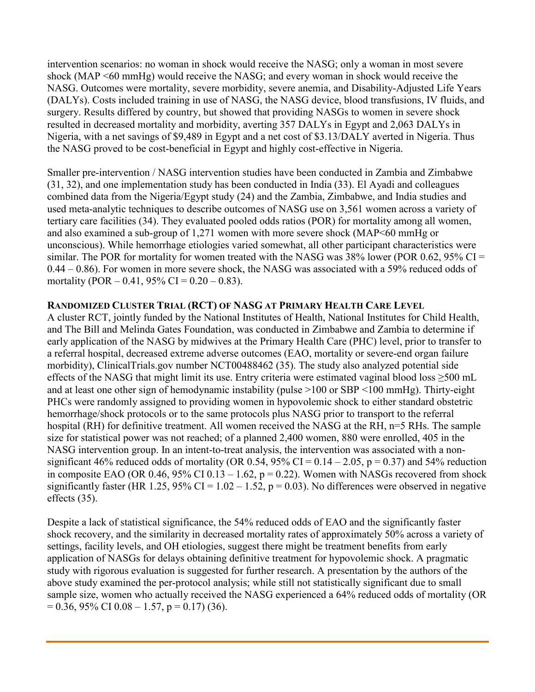intervention scenarios: no woman in shock would receive the NASG; only a woman in most severe shock (MAP <60 mmHg) would receive the NASG; and every woman in shock would receive the NASG. Outcomes were mortality, severe morbidity, severe anemia, and Disability-Adjusted Life Years (DALYs). Costs included training in use of NASG, the NASG device, blood transfusions, IV fluids, and surgery. Results differed by country, but showed that providing NASGs to women in severe shock resulted in decreased mortality and morbidity, averting 357 DALYs in Egypt and 2,063 DALYs in Nigeria, with a net savings of \$9,489 in Egypt and a net cost of \$3.13/DALY averted in Nigeria. Thus the NASG proved to be cost-beneficial in Egypt and highly cost-effective in Nigeria.

Smaller pre-intervention / NASG intervention studies have been conducted in Zambia and Zimbabwe [\(31,](#page-7-11) [32\)](#page-7-12), and one implementation study has been conducted in India [\(33\)](#page-8-0). El Ayadi and colleagues combined data from the Nigeria/Egypt study [\(24\)](#page-7-7) and the Zambia, Zimbabwe, and India studies and used meta-analytic techniques to describe outcomes of NASG use on 3,561 women across a variety of tertiary care facilities [\(34\)](#page-8-1). They evaluated pooled odds ratios (POR) for mortality among all women, and also examined a sub-group of 1,271 women with more severe shock (MAP<60 mmHg or unconscious). While hemorrhage etiologies varied somewhat, all other participant characteristics were similar. The POR for mortality for women treated with the NASG was  $38\%$  lower (POR 0.62, 95% CI = 0.44 – 0.86). For women in more severe shock, the NASG was associated with a 59% reduced odds of mortality (POR  $- 0.41$ , 95% CI = 0.20  $- 0.83$ ).

#### **RANDOMIZED CLUSTER TRIAL (RCT) OF NASG AT PRIMARY HEALTH CARE LEVEL**

A cluster RCT, jointly funded by the National Institutes of Health, National Institutes for Child Health, and The Bill and Melinda Gates Foundation, was conducted in Zimbabwe and Zambia to determine if early application of the NASG by midwives at the Primary Health Care (PHC) level, prior to transfer to a referral hospital, decreased extreme adverse outcomes (EAO, mortality or severe-end organ failure morbidity), ClinicalTrials.gov number NCT00488462 [\(35\)](#page-8-2). The study also analyzed potential side effects of the NASG that might limit its use. Entry criteria were estimated vaginal blood loss ≥500 mL and at least one other sign of hemodynamic instability (pulse >100 or SBP <100 mmHg). Thirty-eight PHCs were randomly assigned to providing women in hypovolemic shock to either standard obstetric hemorrhage/shock protocols or to the same protocols plus NASG prior to transport to the referral hospital (RH) for definitive treatment. All women received the NASG at the RH, n=5 RHs. The sample size for statistical power was not reached; of a planned 2,400 women, 880 were enrolled, 405 in the NASG intervention group. In an intent-to-treat analysis, the intervention was associated with a nonsignificant 46% reduced odds of mortality (OR 0.54, 95% CI =  $0.14 - 2.05$ , p = 0.37) and 54% reduction in composite EAO (OR 0.46, 95% CI 0.13 – 1.62,  $p = 0.22$ ). Women with NASGs recovered from shock significantly faster (HR 1.25, 95% CI =  $1.02 - 1.52$ , p = 0.03). No differences were observed in negative effects [\(35\)](#page-8-2).

Despite a lack of statistical significance, the 54% reduced odds of EAO and the significantly faster shock recovery, and the similarity in decreased mortality rates of approximately 50% across a variety of settings, facility levels, and OH etiologies, suggest there might be treatment benefits from early application of NASGs for delays obtaining definitive treatment for hypovolemic shock. A pragmatic study with rigorous evaluation is suggested for further research. A presentation by the authors of the above study examined the per-protocol analysis; while still not statistically significant due to small sample size, women who actually received the NASG experienced a 64% reduced odds of mortality (OR  $= 0.36, 95\% \text{ CI } 0.08 - 1.57, \, \text{p} = 0.17$  [\(36\)](#page-8-3).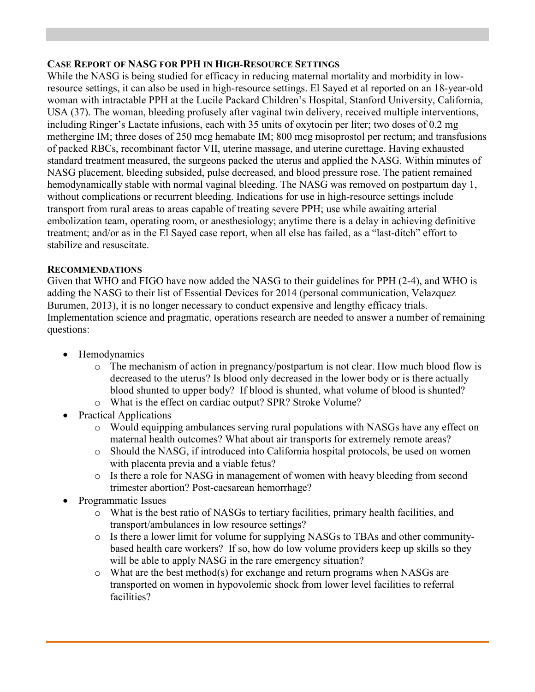#### **CASE REPORT OF NASG FOR PPH IN HIGH-RESOURCE SETTINGS**

While the NASG is being studied for efficacy in reducing maternal mortality and morbidity in lowresource settings, it can also be used in high-resource settings. El Sayed et al reported on an 18-year-old woman with intractable PPH at the Lucile Packard Children's Hospital, Stanford University, California, USA [\(37\)](#page-8-4). The woman, bleeding profusely after vaginal twin delivery, received multiple interventions, including Ringer's Lactate infusions, each with 35 units of oxytocin per liter; two doses of 0.2 mg methergine IM; three doses of 250 mcg hemabate IM; 800 mcg misoprostol per rectum; and transfusions of packed RBCs, recombinant factor VII, uterine massage, and uterine curettage. Having exhausted standard treatment measured, the surgeons packed the uterus and applied the NASG. Within minutes of NASG placement, bleeding subsided, pulse decreased, and blood pressure rose. The patient remained hemodynamically stable with normal vaginal bleeding. The NASG was removed on postpartum day 1, without complications or recurrent bleeding. Indications for use in high-resource settings include transport from rural areas to areas capable of treating severe PPH; use while awaiting arterial embolization team, operating room, or anesthesiology; anytime there is a delay in achieving definitive treatment; and/or as in the El Sayed case report, when all else has failed, as a "last-ditch" effort to stabilize and resuscitate.

#### **RECOMMENDATIONS**

Given that WHO and FIGO have now added the NASG to their guidelines for PPH [\(2-4\)](#page-6-1), and WHO is adding the NASG to their list of Essential Devices for 2014 (personal communication, Velazquez Burumen, 2013), it is no longer necessary to conduct expensive and lengthy efficacy trials. Implementation science and pragmatic, operations research are needed to answer a number of remaining questions:

- Hemodynamics
	- o The mechanism of action in pregnancy/postpartum is not clear. How much blood flow is decreased to the uterus? Is blood only decreased in the lower body or is there actually blood shunted to upper body? If blood is shunted, what volume of blood is shunted?
	- o What is the effect on cardiac output? SPR? Stroke Volume?
- Practical Applications
	- o Would equipping ambulances serving rural populations with NASGs have any effect on maternal health outcomes? What about air transports for extremely remote areas?
	- o Should the NASG, if introduced into California hospital protocols, be used on women with placenta previa and a viable fetus?
	- o Is there a role for NASG in management of women with heavy bleeding from second trimester abortion? Post-caesarean hemorrhage?
- Programmatic Issues
	- o What is the best ratio of NASGs to tertiary facilities, primary health facilities, and transport/ambulances in low resource settings?
	- o Is there a lower limit for volume for supplying NASGs to TBAs and other communitybased health care workers? If so, how do low volume providers keep up skills so they will be able to apply NASG in the rare emergency situation?
	- o What are the best method(s) for exchange and return programs when NASGs are transported on women in hypovolemic shock from lower level facilities to referral facilities?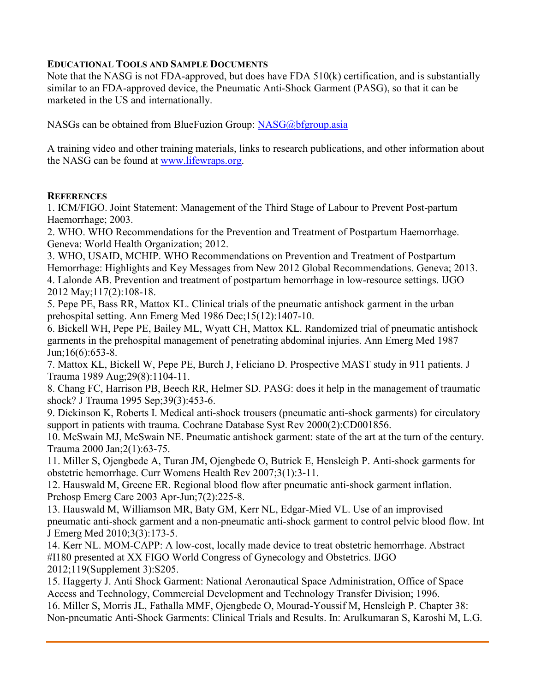### **EDUCATIONAL TOOLS AND SAMPLE DOCUMENTS**

Note that the NASG is not FDA-approved, but does have FDA 510(k) certification, and is substantially similar to an FDA-approved device, the Pneumatic Anti-Shock Garment (PASG), so that it can be marketed in the US and internationally.

NASGs can be obtained from BlueFuzion Group: [NASG@bfgroup.asia](mailto:NASG@bfgroup.asia)

A training video and other training materials, links to research publications, and other information about the NASG can be found at [www.lifewraps.org.](http://www.lifewraps.org/)

#### **REFERENCES**

<span id="page-6-0"></span>1. ICM/FIGO. Joint Statement: Management of the Third Stage of Labour to Prevent Post-partum Haemorrhage; 2003.

<span id="page-6-1"></span>2. WHO. WHO Recommendations for the Prevention and Treatment of Postpartum Haemorrhage. Geneva: World Health Organization; 2012.

<span id="page-6-3"></span><span id="page-6-2"></span>3. WHO, USAID, MCHIP. WHO Recommendations on Prevention and Treatment of Postpartum Hemorrhage: Highlights and Key Messages from New 2012 Global Recommendations. Geneva; 2013. 4. Lalonde AB. Prevention and treatment of postpartum hemorrhage in low-resource settings. IJGO 2012 May;117(2):108-18.

<span id="page-6-4"></span>5. Pepe PE, Bass RR, Mattox KL. Clinical trials of the pneumatic antishock garment in the urban prehospital setting. Ann Emerg Med 1986 Dec;15(12):1407-10.

<span id="page-6-5"></span>6. Bickell WH, Pepe PE, Bailey ML, Wyatt CH, Mattox KL. Randomized trial of pneumatic antishock garments in the prehospital management of penetrating abdominal injuries. Ann Emerg Med 1987 Jun;16(6):653-8.

<span id="page-6-6"></span>7. Mattox KL, Bickell W, Pepe PE, Burch J, Feliciano D. Prospective MAST study in 911 patients. J Trauma 1989 Aug;29(8):1104-11.

<span id="page-6-7"></span>8. Chang FC, Harrison PB, Beech RR, Helmer SD. PASG: does it help in the management of traumatic shock? J Trauma 1995 Sep;39(3):453-6.

<span id="page-6-8"></span>9. Dickinson K, Roberts I. Medical anti-shock trousers (pneumatic anti-shock garments) for circulatory support in patients with trauma. Cochrane Database Syst Rev 2000(2):CD001856.

<span id="page-6-9"></span>10. McSwain MJ, McSwain NE. Pneumatic antishock garment: state of the art at the turn of the century. Trauma 2000 Jan;2(1):63-75.

<span id="page-6-10"></span>11. Miller S, Ojengbede A, Turan JM, Ojengbede O, Butrick E, Hensleigh P. Anti-shock garments for obstetric hemorrhage. Curr Womens Health Rev 2007;3(1):3-11.

<span id="page-6-11"></span>12. Hauswald M, Greene ER. Regional blood flow after pneumatic anti-shock garment inflation. Prehosp Emerg Care 2003 Apr-Jun;7(2):225-8.

<span id="page-6-12"></span>13. Hauswald M, Williamson MR, Baty GM, Kerr NL, Edgar-Mied VL. Use of an improvised pneumatic anti-shock garment and a non-pneumatic anti-shock garment to control pelvic blood flow. Int J Emerg Med 2010;3(3):173-5.

<span id="page-6-13"></span>14. Kerr NL. MOM-CAPP: A low-cost, locally made device to treat obstetric hemorrhage. Abstract #I180 presented at XX FIGO World Congress of Gynecology and Obstetrics. IJGO 2012;119(Supplement 3):S205.

<span id="page-6-14"></span>15. Haggerty J. Anti Shock Garment: National Aeronautical Space Administration, Office of Space Access and Technology, Commercial Development and Technology Transfer Division; 1996. 16. Miller S, Morris JL, Fathalla MMF, Ojengbede O, Mourad-Youssif M, Hensleigh P. Chapter 38:

<span id="page-6-15"></span>Non-pneumatic Anti-Shock Garments: Clinical Trials and Results. In: Arulkumaran S, Karoshi M, L.G.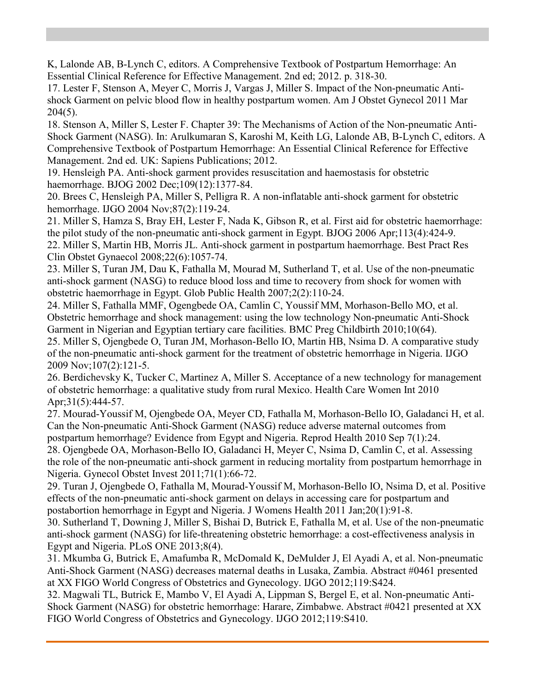K, Lalonde AB, B-Lynch C, editors. A Comprehensive Textbook of Postpartum Hemorrhage: An Essential Clinical Reference for Effective Management. 2nd ed; 2012. p. 318-30.

<span id="page-7-0"></span>17. Lester F, Stenson A, Meyer C, Morris J, Vargas J, Miller S. Impact of the Non-pneumatic Antishock Garment on pelvic blood flow in healthy postpartum women. Am J Obstet Gynecol 2011 Mar 204(5).

<span id="page-7-1"></span>18. Stenson A, Miller S, Lester F. Chapter 39: The Mechanisms of Action of the Non-pneumatic Anti-Shock Garment (NASG). In: Arulkumaran S, Karoshi M, Keith LG, Lalonde AB, B-Lynch C, editors. A Comprehensive Textbook of Postpartum Hemorrhage: An Essential Clinical Reference for Effective Management. 2nd ed. UK: Sapiens Publications; 2012.

<span id="page-7-2"></span>19. Hensleigh PA. Anti-shock garment provides resuscitation and haemostasis for obstetric haemorrhage. BJOG 2002 Dec;109(12):1377-84.

<span id="page-7-3"></span>20. Brees C, Hensleigh PA, Miller S, Pelligra R. A non-inflatable anti-shock garment for obstetric hemorrhage. IJGO 2004 Nov;87(2):119-24.

<span id="page-7-5"></span><span id="page-7-4"></span>21. Miller S, Hamza S, Bray EH, Lester F, Nada K, Gibson R, et al. First aid for obstetric haemorrhage: the pilot study of the non-pneumatic anti-shock garment in Egypt. BJOG 2006 Apr;113(4):424-9. 22. Miller S, Martin HB, Morris JL. Anti-shock garment in postpartum haemorrhage. Best Pract Res Clin Obstet Gynaecol 2008;22(6):1057-74.

<span id="page-7-6"></span>23. Miller S, Turan JM, Dau K, Fathalla M, Mourad M, Sutherland T, et al. Use of the non-pneumatic anti-shock garment (NASG) to reduce blood loss and time to recovery from shock for women with obstetric haemorrhage in Egypt. Glob Public Health 2007;2(2):110-24.

<span id="page-7-7"></span>24. Miller S, Fathalla MMF, Ogengbede OA, Camlin C, Youssif MM, Morhason-Bello MO, et al. Obstetric hemorrhage and shock management: using the low technology Non-pneumatic Anti-Shock Garment in Nigerian and Egyptian tertiary care facilities. BMC Preg Childbirth 2010;10(64).

<span id="page-7-8"></span>25. Miller S, Ojengbede O, Turan JM, Morhason-Bello IO, Martin HB, Nsima D. A comparative study of the non-pneumatic anti-shock garment for the treatment of obstetric hemorrhage in Nigeria. IJGO 2009 Nov;107(2):121-5.

26. Berdichevsky K, Tucker C, Martinez A, Miller S. Acceptance of a new technology for management of obstetric hemorrhage: a qualitative study from rural Mexico. Health Care Women Int 2010 Apr; 31(5): 444-57.

27. Mourad-Youssif M, Ojengbede OA, Meyer CD, Fathalla M, Morhason-Bello IO, Galadanci H, et al. Can the Non-pneumatic Anti-Shock Garment (NASG) reduce adverse maternal outcomes from postpartum hemorrhage? Evidence from Egypt and Nigeria. Reprod Health 2010 Sep 7(1):24.

28. Ojengbede OA, Morhason-Bello IO, Galadanci H, Meyer C, Nsima D, Camlin C, et al. Assessing the role of the non-pneumatic anti-shock garment in reducing mortality from postpartum hemorrhage in Nigeria. Gynecol Obstet Invest 2011;71(1):66-72.

<span id="page-7-9"></span>29. Turan J, Ojengbede O, Fathalla M, Mourad-Youssif M, Morhason-Bello IO, Nsima D, et al. Positive effects of the non-pneumatic anti-shock garment on delays in accessing care for postpartum and postabortion hemorrhage in Egypt and Nigeria. J Womens Health 2011 Jan;20(1):91-8.

<span id="page-7-10"></span>30. Sutherland T, Downing J, Miller S, Bishai D, Butrick E, Fathalla M, et al. Use of the non-pneumatic anti-shock garment (NASG) for life-threatening obstetric hemorrhage: a cost-effectiveness analysis in Egypt and Nigeria. PLoS ONE 2013;8(4).

<span id="page-7-11"></span>31. Mkumba G, Butrick E, Amafumba R, McDomald K, DeMulder J, El Ayadi A, et al. Non-pneumatic Anti-Shock Garment (NASG) decreases maternal deaths in Lusaka, Zambia. Abstract #0461 presented at XX FIGO World Congress of Obstetrics and Gynecology. IJGO 2012;119:S424.

<span id="page-7-12"></span>32. Magwali TL, Butrick E, Mambo V, El Ayadi A, Lippman S, Bergel E, et al. Non-pneumatic Anti-Shock Garment (NASG) for obstetric hemorrhage: Harare, Zimbabwe. Abstract #0421 presented at XX FIGO World Congress of Obstetrics and Gynecology. IJGO 2012;119:S410.